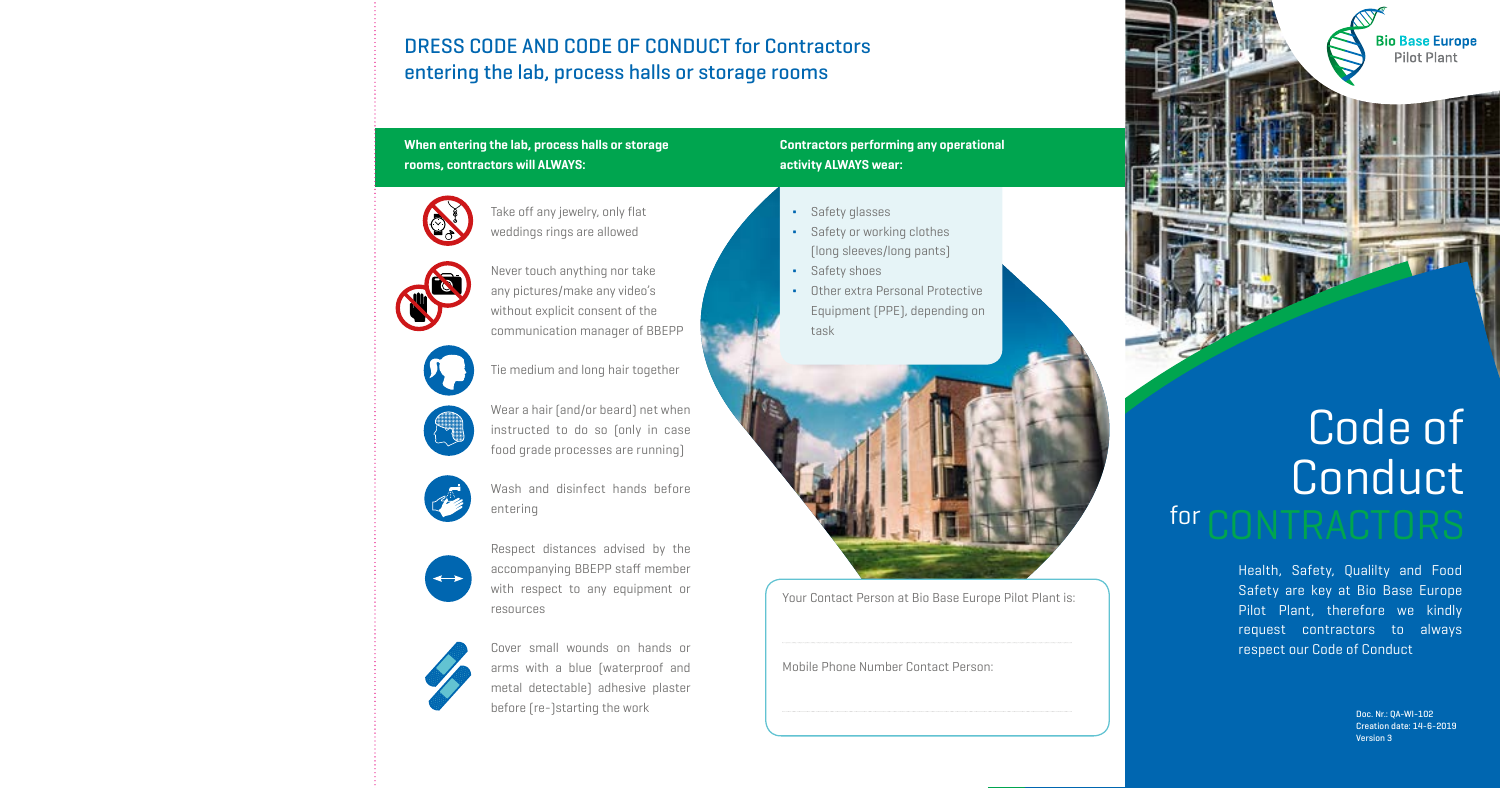Health, Safety, Qualilty and Food Safety are key at Bio Base Europe Pilot Plant, therefore we kindly request contractors to always respect our Code of Conduct

> Doc. Nr.: QA-WI-102 Creation date: 14-6-2019 Version 3

for

#### **When entering the lab, process halls or storage rooms, contractors will ALWAYS:**

Take off any jewelry, only flat weddings rings are allowed

Never touch anything nor take any pictures/make any video's without explicit consent of the communication manager of BBEPP









Tie medium and long hair together

Wear a hair (and/or beard) net when instructed to do so (only in case

- Safety or working clothes (long sleeves/long pants)
- ∆ Safety shoes
- Other extra Personal Protective Equipment (PPE), depending on task



food grade processes are running)

Wash and disinfect hands before entering

Respect distances advised by the accompanying BBEPP staff member with respect to any equipment or resources



Cover small wounds on hands or arms with a blue (waterproof and metal detectable) adhesive plaster before (re-)starting the work

**Contractors performing any operational activity ALWAYS wear:**

### DRESS CODE AND CODE OF CONDUCT for Contractors entering the lab, process halls or storage rooms



Your Contact Person at Bio Base Europe Pilot Plant is:

Mobile Phone Number Contact Person:



# Code of Conduct